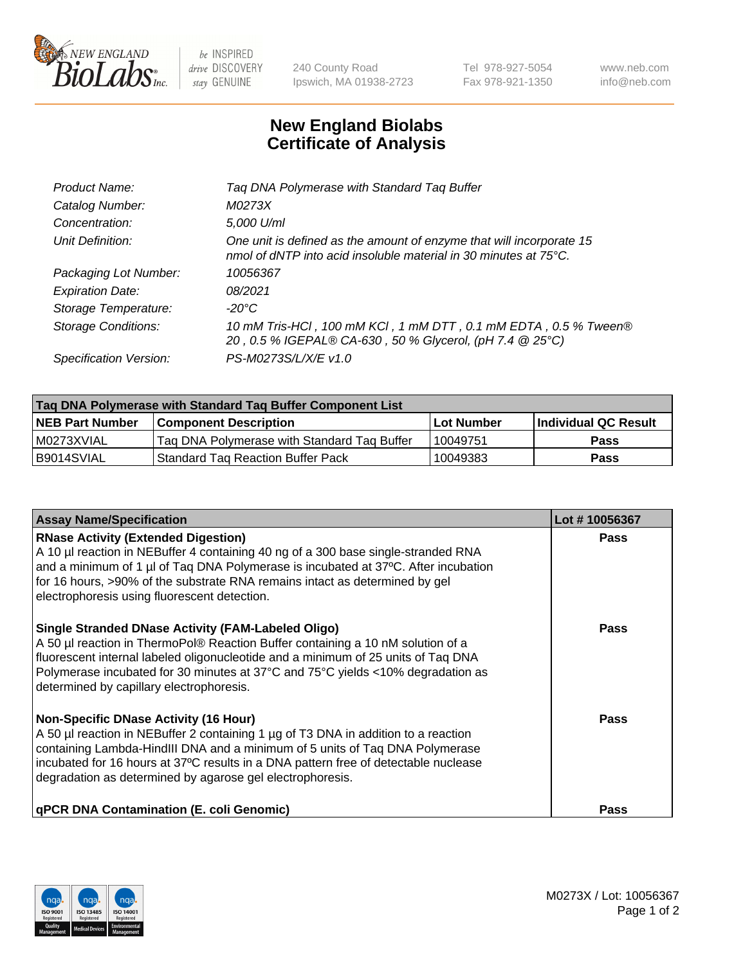

 $be$  INSPIRED drive DISCOVERY stay GENUINE

240 County Road Ipswich, MA 01938-2723 Tel 978-927-5054 Fax 978-921-1350 www.neb.com info@neb.com

## **New England Biolabs Certificate of Analysis**

| Product Name:              | Tag DNA Polymerase with Standard Tag Buffer                                                                                              |
|----------------------------|------------------------------------------------------------------------------------------------------------------------------------------|
| Catalog Number:            | M0273X                                                                                                                                   |
| Concentration:             | 5,000 U/ml                                                                                                                               |
| Unit Definition:           | One unit is defined as the amount of enzyme that will incorporate 15<br>nmol of dNTP into acid insoluble material in 30 minutes at 75°C. |
| Packaging Lot Number:      | 10056367                                                                                                                                 |
| <b>Expiration Date:</b>    | 08/2021                                                                                                                                  |
| Storage Temperature:       | $-20^{\circ}$ C                                                                                                                          |
| <b>Storage Conditions:</b> | 10 mM Tris-HCl, 100 mM KCl, 1 mM DTT, 0.1 mM EDTA, 0.5 % Tween®<br>20, 0.5 % IGEPAL® CA-630, 50 % Glycerol, (pH 7.4 @ 25°C)              |
| Specification Version:     | PS-M0273S/L/X/E v1.0                                                                                                                     |

| Tag DNA Polymerase with Standard Tag Buffer Component List |                                             |            |                      |  |
|------------------------------------------------------------|---------------------------------------------|------------|----------------------|--|
| <b>NEB Part Number</b>                                     | <b>Component Description</b>                | Lot Number | Individual QC Result |  |
| M0273XVIAL                                                 | Tag DNA Polymerase with Standard Tag Buffer | 10049751   | Pass                 |  |
| B9014SVIAL                                                 | <b>Standard Tag Reaction Buffer Pack</b>    | 10049383   | Pass                 |  |

| <b>Assay Name/Specification</b>                                                                                                                                                                                                                                                                                                                                        | Lot #10056367 |
|------------------------------------------------------------------------------------------------------------------------------------------------------------------------------------------------------------------------------------------------------------------------------------------------------------------------------------------------------------------------|---------------|
| <b>RNase Activity (Extended Digestion)</b><br>A 10 µl reaction in NEBuffer 4 containing 40 ng of a 300 base single-stranded RNA<br>and a minimum of 1 µl of Taq DNA Polymerase is incubated at 37°C. After incubation<br>for 16 hours, >90% of the substrate RNA remains intact as determined by gel<br>electrophoresis using fluorescent detection.                   | Pass          |
| <b>Single Stranded DNase Activity (FAM-Labeled Oligo)</b><br>A 50 µl reaction in ThermoPol® Reaction Buffer containing a 10 nM solution of a<br>fluorescent internal labeled oligonucleotide and a minimum of 25 units of Taq DNA<br>Polymerase incubated for 30 minutes at 37°C and 75°C yields <10% degradation as<br>determined by capillary electrophoresis.       | Pass          |
| <b>Non-Specific DNase Activity (16 Hour)</b><br>A 50 µl reaction in NEBuffer 2 containing 1 µg of T3 DNA in addition to a reaction<br>containing Lambda-HindIII DNA and a minimum of 5 units of Taq DNA Polymerase<br>incubated for 16 hours at 37°C results in a DNA pattern free of detectable nuclease<br>degradation as determined by agarose gel electrophoresis. | Pass          |
| <b>qPCR DNA Contamination (E. coli Genomic)</b>                                                                                                                                                                                                                                                                                                                        | Pass          |